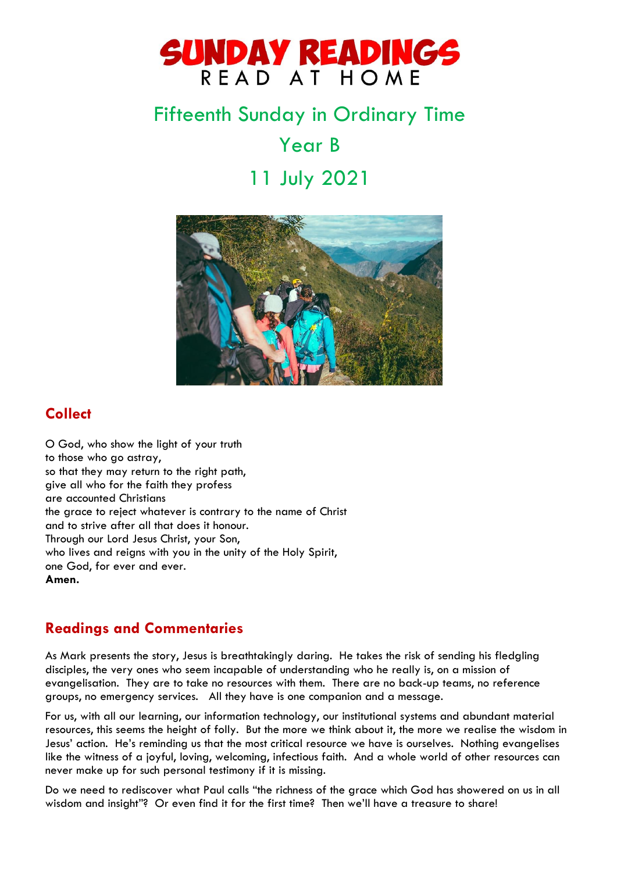

# Fifteenth Sunday in Ordinary Time Year B 11 July 2021



### **Collect**

O God, who show the light of your truth to those who go astray, so that they may return to the right path, give all who for the faith they profess are accounted Christians the grace to reject whatever is contrary to the name of Christ and to strive after all that does it honour. Through our Lord Jesus Christ, your Son, who lives and reigns with you in the unity of the Holy Spirit, one God, for ever and ever. **Amen.**

### **Readings and Commentaries**

As Mark presents the story, Jesus is breathtakingly daring. He takes the risk of sending his fledgling disciples, the very ones who seem incapable of understanding who he really is, on a mission of evangelisation. They are to take no resources with them. There are no back-up teams, no reference groups, no emergency services. All they have is one companion and a message.

For us, with all our learning, our information technology, our institutional systems and abundant material resources, this seems the height of folly. But the more we think about it, the more we realise the wisdom in Jesus' action. He's reminding us that the most critical resource we have is ourselves. Nothing evangelises like the witness of a joyful, loving, welcoming, infectious faith. And a whole world of other resources can never make up for such personal testimony if it is missing.

Do we need to rediscover what Paul calls "the richness of the grace which God has showered on us in all wisdom and insight"? Or even find it for the first time? Then we'll have a treasure to share!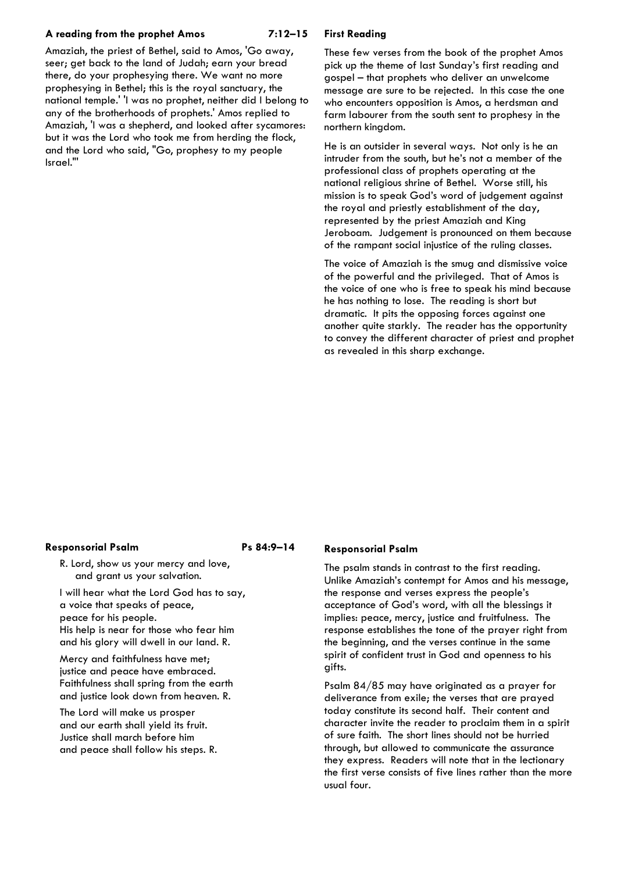#### **A reading from the prophet Amos 7:12–15**

Amaziah, the priest of Bethel, said to Amos, 'Go away, seer; get back to the land of Judah; earn your bread there, do your prophesying there. We want no more prophesying in Bethel; this is the royal sanctuary, the national temple.' 'I was no prophet, neither did I belong to any of the brotherhoods of prophets.' Amos replied to Amaziah, 'I was a shepherd, and looked after sycamores: but it was the Lord who took me from herding the flock, and the Lord who said, "Go, prophesy to my people Israel."'

#### **First Reading**

These few verses from the book of the prophet Amos pick up the theme of last Sunday's first reading and gospel – that prophets who deliver an unwelcome message are sure to be rejected. In this case the one who encounters opposition is Amos, a herdsman and farm labourer from the south sent to prophesy in the northern kingdom.

He is an outsider in several ways. Not only is he an intruder from the south, but he's not a member of the professional class of prophets operating at the national religious shrine of Bethel. Worse still, his mission is to speak God's word of judgement against the royal and priestly establishment of the day, represented by the priest Amaziah and King Jeroboam. Judgement is pronounced on them because of the rampant social injustice of the ruling classes.

The voice of Amaziah is the smug and dismissive voice of the powerful and the privileged. That of Amos is the voice of one who is free to speak his mind because he has nothing to lose. The reading is short but dramatic. It pits the opposing forces against one another quite starkly. The reader has the opportunity to convey the different character of priest and prophet as revealed in this sharp exchange.

#### **Responsorial Psalm Ps 84:9–14**

R. Lord, show us your mercy and love, and grant us your salvation.

I will hear what the Lord God has to say, a voice that speaks of peace, peace for his people. His help is near for those who fear him and his glory will dwell in our land. R.

Mercy and faithfulness have met; justice and peace have embraced. Faithfulness shall spring from the earth and justice look down from heaven. R.

The Lord will make us prosper and our earth shall yield its fruit. Justice shall march before him and peace shall follow his steps. R.

#### **Responsorial Psalm**

The psalm stands in contrast to the first reading. Unlike Amaziah's contempt for Amos and his message, the response and verses express the people's acceptance of God's word, with all the blessings it implies: peace, mercy, justice and fruitfulness. The response establishes the tone of the prayer right from the beginning, and the verses continue in the same spirit of confident trust in God and openness to his gifts.

Psalm 84/85 may have originated as a prayer for deliverance from exile; the verses that are prayed today constitute its second half. Their content and character invite the reader to proclaim them in a spirit of sure faith. The short lines should not be hurried through, but allowed to communicate the assurance they express. Readers will note that in the lectionary the first verse consists of five lines rather than the more usual four.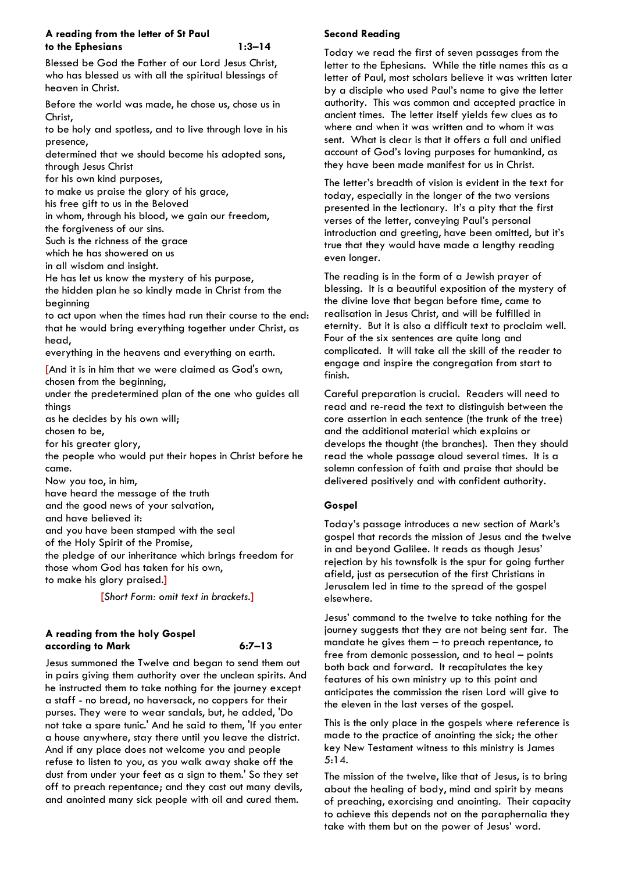### **A reading from the letter of St Paul to the Ephesians 1:3–14**

Blessed be God the Father of our Lord Jesus Christ, who has blessed us with all the spiritual blessings of heaven in Christ.

Before the world was made, he chose us, chose us in Christ,

to be holy and spotless, and to live through love in his presence,

determined that we should become his adopted sons, through Jesus Christ

for his own kind purposes,

to make us praise the glory of his grace,

his free gift to us in the Beloved

in whom, through his blood, we gain our freedom, the forgiveness of our sins.

Such is the richness of the grace

which he has showered on us

in all wisdom and insight.

He has let us know the mystery of his purpose,

the hidden plan he so kindly made in Christ from the beginning

to act upon when the times had run their course to the end: that he would bring everything together under Christ, as head,

everything in the heavens and everything on earth.

**[**And it is in him that we were claimed as God's own, chosen from the beginning,

under the predetermined plan of the one who guides all things

as he decides by his own will;

chosen to be,

for his greater glory,

the people who would put their hopes in Christ before he came.

Now you too, in him,

have heard the message of the truth

and the good news of your salvation,

and have believed it:

and you have been stamped with the seal

of the Holy Spirit of the Promise,

the pledge of our inheritance which brings freedom for those whom God has taken for his own,

to make his glory praised.**]**

**[***Short Form: omit text in brackets.***]**

#### **A reading from the holy Gospel according to Mark 6:7–13**

Jesus summoned the Twelve and began to send them out in pairs giving them authority over the unclean spirits. And he instructed them to take nothing for the journey except a staff - no bread, no haversack, no coppers for their purses. They were to wear sandals, but, he added, 'Do not take a spare tunic.' And he said to them, 'If you enter a house anywhere, stay there until you leave the district. And if any place does not welcome you and people refuse to listen to you, as you walk away shake off the dust from under your feet as a sign to them.' So they set off to preach repentance; and they cast out many devils, and anointed many sick people with oil and cured them.

#### **Second Reading**

Today we read the first of seven passages from the letter to the Ephesians. While the title names this as a letter of Paul, most scholars believe it was written later by a disciple who used Paul's name to give the letter authority. This was common and accepted practice in ancient times. The letter itself yields few clues as to where and when it was written and to whom it was sent. What is clear is that it offers a full and unified account of God's loving purposes for humankind, as they have been made manifest for us in Christ.

The letter's breadth of vision is evident in the text for today, especially in the longer of the two versions presented in the lectionary. It's a pity that the first verses of the letter, conveying Paul's personal introduction and greeting, have been omitted, but it's true that they would have made a lengthy reading even longer.

The reading is in the form of a Jewish prayer of blessing. It is a beautiful exposition of the mystery of the divine love that began before time, came to realisation in Jesus Christ, and will be fulfilled in eternity. But it is also a difficult text to proclaim well. Four of the six sentences are quite long and complicated. It will take all the skill of the reader to engage and inspire the congregation from start to finish.

Careful preparation is crucial. Readers will need to read and re-read the text to distinguish between the core assertion in each sentence (the trunk of the tree) and the additional material which explains or develops the thought (the branches). Then they should read the whole passage aloud several times. It is a solemn confession of faith and praise that should be delivered positively and with confident authority.

#### **Gospel**

Today's passage introduces a new section of Mark's gospel that records the mission of Jesus and the twelve in and beyond Galilee. It reads as though Jesus' rejection by his townsfolk is the spur for going further afield, just as persecution of the first Christians in Jerusalem led in time to the spread of the gospel elsewhere.

Jesus' command to the twelve to take nothing for the journey suggests that they are not being sent far. The mandate he gives them – to preach repentance, to free from demonic possession, and to heal – points both back and forward. It recapitulates the key features of his own ministry up to this point and anticipates the commission the risen Lord will give to the eleven in the last verses of the gospel.

This is the only place in the gospels where reference is made to the practice of anointing the sick; the other key New Testament witness to this ministry is James 5:14.

The mission of the twelve, like that of Jesus, is to bring about the healing of body, mind and spirit by means of preaching, exorcising and anointing. Their capacity to achieve this depends not on the paraphernalia they take with them but on the power of Jesus' word.